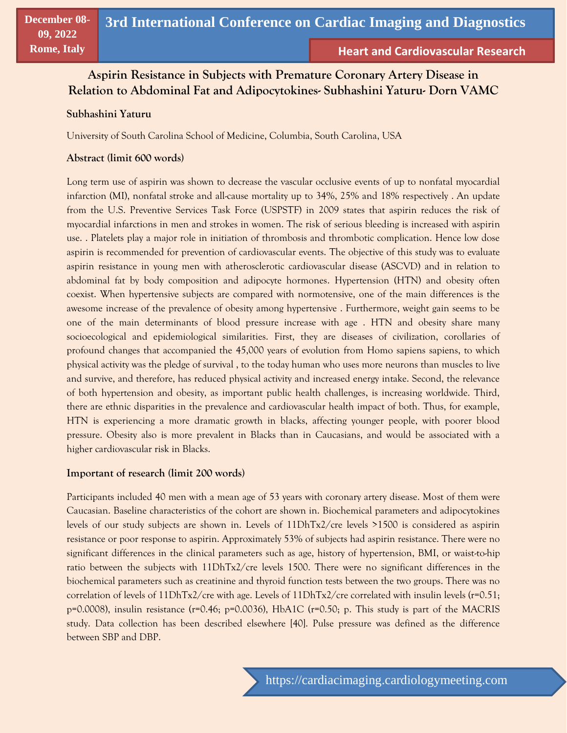# **Aspirin Resistance in Subjects with Premature Coronary Artery Disease in Relation to Abdominal Fat and Adipocytokines- Subhashini Yaturu- Dorn VAMC**

## **Subhashini Yaturu**

University of South Carolina School of Medicine, Columbia, South Carolina, USA

#### **Abstract (limit 600 words)**

Long term use of aspirin was shown to decrease the vascular occlusive events of up to nonfatal myocardial infarction (MI), nonfatal stroke and all-cause mortality up to 34%, 25% and 18% respectively . An update from the U.S. Preventive Services Task Force (USPSTF) in 2009 states that aspirin reduces the risk of myocardial infarctions in men and strokes in women. The risk of serious bleeding is increased with aspirin use. . Platelets play a major role in initiation of thrombosis and thrombotic complication. Hence low dose aspirin is recommended for prevention of cardiovascular events. The objective of this study was to evaluate aspirin resistance in young men with atherosclerotic cardiovascular disease (ASCVD) and in relation to abdominal fat by body composition and adipocyte hormones. Hypertension (HTN) and obesity often coexist. When hypertensive subjects are compared with normotensive, one of the main differences is the awesome increase of the prevalence of obesity among hypertensive . Furthermore, weight gain seems to be one of the main determinants of blood pressure increase with age . HTN and obesity share many socioecological and epidemiological similarities. First, they are diseases of civilization, corollaries of profound changes that accompanied the 45,000 years of evolution from Homo sapiens sapiens, to which physical activity was the pledge of survival , to the today human who uses more neurons than muscles to live and survive, and therefore, has reduced physical activity and increased energy intake. Second, the relevance of both hypertension and obesity, as important public health challenges, is increasing worldwide. Third, there are ethnic disparities in the prevalence and cardiovascular health impact of both. Thus, for example, HTN is experiencing a more dramatic growth in blacks, affecting younger people, with poorer blood pressure. Obesity also is more prevalent in Blacks than in Caucasians, and would be associated with a higher cardiovascular risk in Blacks.

## **Important of research (limit 200 words)**

Participants included 40 men with a mean age of 53 years with coronary artery disease. Most of them were Caucasian. Baseline characteristics of the cohort are shown in. Biochemical parameters and adipocytokines levels of our study subjects are shown in. Levels of 11DhTx2/cre levels >1500 is considered as aspirin resistance or poor response to aspirin. Approximately 53% of subjects had aspirin resistance. There were no significant differences in the clinical parameters such as age, history of hypertension, BMI, or waist-to-hip ratio between the subjects with 11DhTx2/cre levels 1500. There were no significant differences in the biochemical parameters such as creatinine and thyroid function tests between the two groups. There was no correlation of levels of 11DhTx2/cre with age. Levels of 11DhTx2/cre correlated with insulin levels (r=0.51; p=0.0008), insulin resistance (r=0.46; p=0.0036), HbA1C (r=0.50; p. This study is part of the MACRIS study. Data collection has been described elsewhere [40]. Pulse pressure was defined as the difference between SBP and DBP.